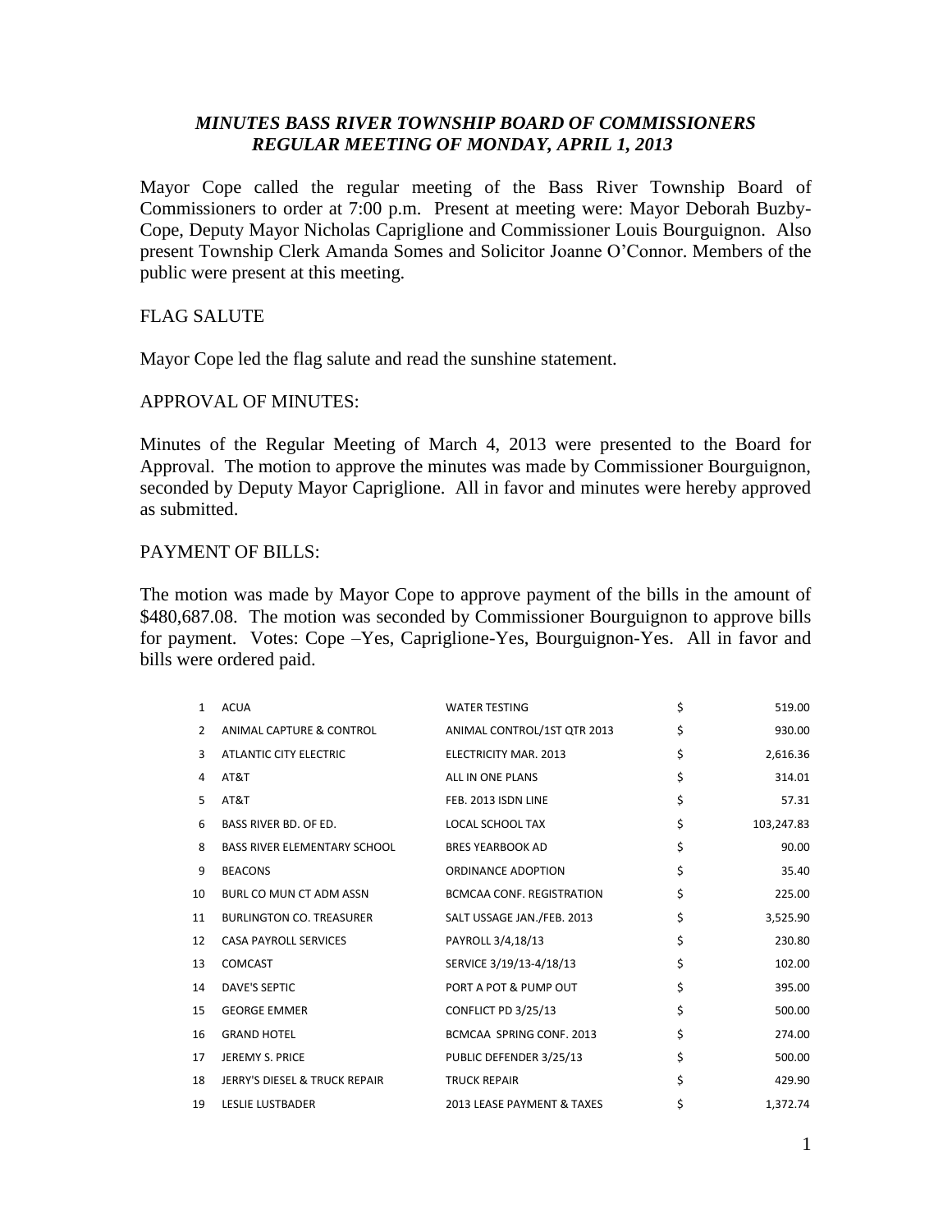# *MINUTES BASS RIVER TOWNSHIP BOARD OF COMMISSIONERS REGULAR MEETING OF MONDAY, APRIL 1, 2013*

Mayor Cope called the regular meeting of the Bass River Township Board of Commissioners to order at 7:00 p.m. Present at meeting were: Mayor Deborah Buzby-Cope, Deputy Mayor Nicholas Capriglione and Commissioner Louis Bourguignon. Also present Township Clerk Amanda Somes and Solicitor Joanne O'Connor. Members of the public were present at this meeting.

## FLAG SALUTE

Mayor Cope led the flag salute and read the sunshine statement.

## APPROVAL OF MINUTES:

Minutes of the Regular Meeting of March 4, 2013 were presented to the Board for Approval. The motion to approve the minutes was made by Commissioner Bourguignon, seconded by Deputy Mayor Capriglione. All in favor and minutes were hereby approved as submitted.

# PAYMENT OF BILLS:

The motion was made by Mayor Cope to approve payment of the bills in the amount of \$480,687.08. The motion was seconded by Commissioner Bourguignon to approve bills for payment. Votes: Cope –Yes, Capriglione-Yes, Bourguignon-Yes. All in favor and bills were ordered paid.

| $\mathbf{1}$ | <b>ACUA</b>                         | <b>WATER TESTING</b>             | \$<br>519.00     |
|--------------|-------------------------------------|----------------------------------|------------------|
| 2            | ANIMAL CAPTURE & CONTROL            | ANIMAL CONTROL/1ST QTR 2013      | \$<br>930.00     |
| 3            | <b>ATLANTIC CITY ELECTRIC</b>       | ELECTRICITY MAR. 2013            | \$<br>2,616.36   |
| 4            | AT&T                                | ALL IN ONE PLANS                 | \$<br>314.01     |
| 5            | AT&T                                | FEB. 2013 ISDN LINE              | \$<br>57.31      |
| 6            | <b>BASS RIVER BD. OF ED.</b>        | LOCAL SCHOOL TAX                 | \$<br>103,247.83 |
| 8            | <b>BASS RIVER ELEMENTARY SCHOOL</b> | <b>BRES YEARBOOK AD</b>          | \$<br>90.00      |
| 9            | <b>BEACONS</b>                      | ORDINANCE ADOPTION               | \$<br>35.40      |
| 10           | BURL CO MUN CT ADM ASSN             | <b>BCMCAA CONF. REGISTRATION</b> | \$<br>225.00     |
| 11           | <b>BURLINGTON CO. TREASURER</b>     | SALT USSAGE JAN./FEB. 2013       | \$<br>3,525.90   |
| 12           | <b>CASA PAYROLL SERVICES</b>        | PAYROLL 3/4,18/13                | \$<br>230.80     |
| 13           | <b>COMCAST</b>                      | SERVICE 3/19/13-4/18/13          | \$<br>102.00     |
| 14           | <b>DAVE'S SEPTIC</b>                | PORT A POT & PUMP OUT            | \$<br>395.00     |
| 15           | <b>GEORGE EMMER</b>                 | CONFLICT PD 3/25/13              | \$<br>500.00     |
| 16           | <b>GRAND HOTEL</b>                  | BCMCAA SPRING CONF. 2013         | \$<br>274.00     |
| 17           | <b>JEREMY S. PRICE</b>              | PUBLIC DEFENDER 3/25/13          | \$<br>500.00     |
| 18           | JERRY'S DIESEL & TRUCK REPAIR       | <b>TRUCK REPAIR</b>              | \$<br>429.90     |
| 19           | <b>LESLIE LUSTBADER</b>             | 2013 LEASE PAYMENT & TAXES       | \$<br>1,372.74   |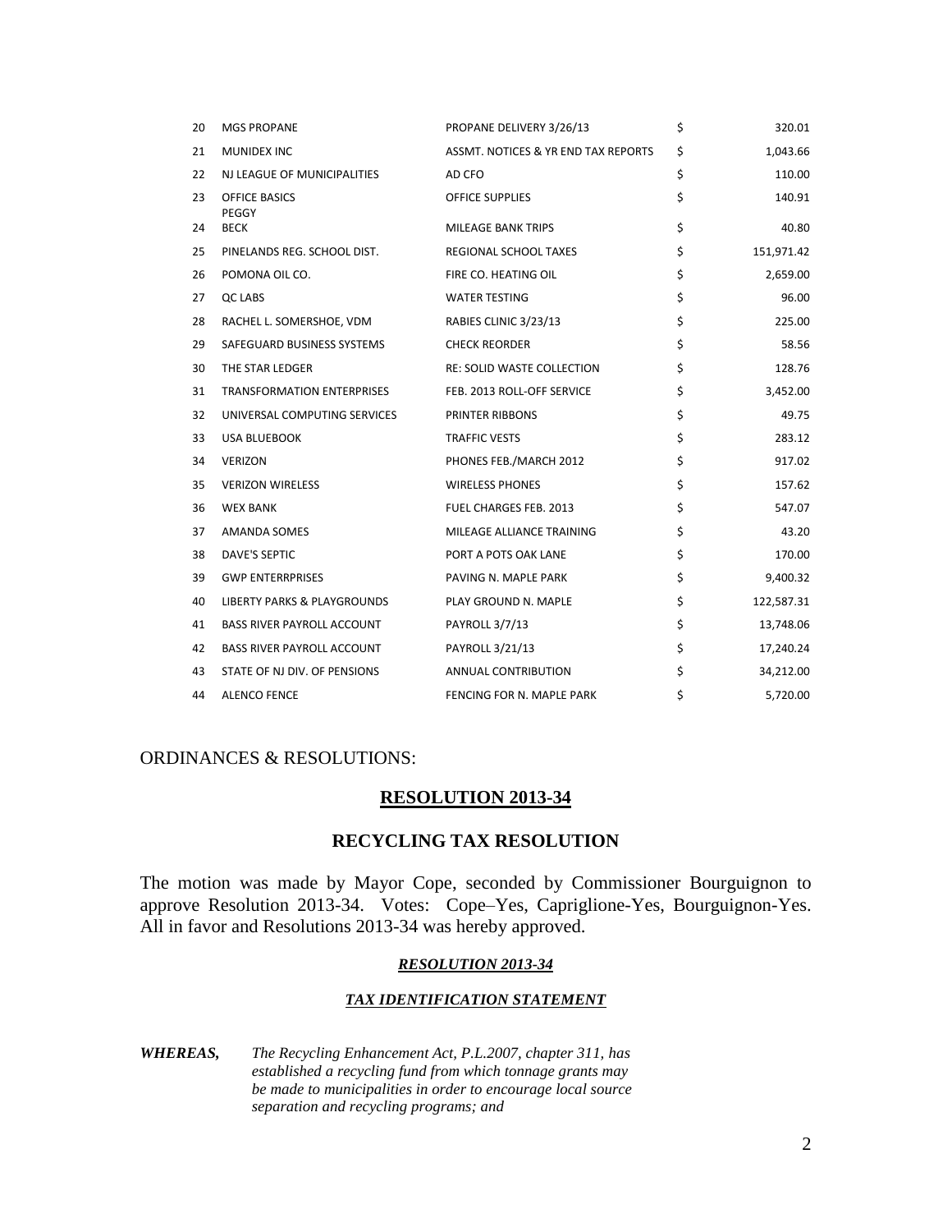| 20 | <b>MGS PROPANE</b>                     | PROPANE DELIVERY 3/26/13            | \$<br>320.01     |
|----|----------------------------------------|-------------------------------------|------------------|
| 21 | <b>MUNIDEX INC</b>                     | ASSMT. NOTICES & YR END TAX REPORTS | \$<br>1,043.66   |
| 22 | NJ LEAGUE OF MUNICIPALITIES            | AD CFO                              | \$<br>110.00     |
| 23 | <b>OFFICE BASICS</b><br>PEGGY          | OFFICE SUPPLIES                     | \$<br>140.91     |
| 24 | <b>BECK</b>                            | MILEAGE BANK TRIPS                  | \$<br>40.80      |
| 25 | PINELANDS REG. SCHOOL DIST.            | REGIONAL SCHOOL TAXES               | \$<br>151,971.42 |
| 26 | POMONA OIL CO.                         | FIRE CO. HEATING OIL                | \$<br>2,659.00   |
| 27 | QC LABS                                | <b>WATER TESTING</b>                | \$<br>96.00      |
| 28 | RACHEL L. SOMERSHOE, VDM               | RABIES CLINIC 3/23/13               | \$<br>225.00     |
| 29 | SAFEGUARD BUSINESS SYSTEMS             | <b>CHECK REORDER</b>                | \$<br>58.56      |
| 30 | THE STAR LEDGER                        | RE: SOLID WASTE COLLECTION          | \$<br>128.76     |
| 31 | TRANSFORMATION ENTERPRISES             | FEB. 2013 ROLL-OFF SERVICE          | \$<br>3,452.00   |
| 32 | UNIVERSAL COMPUTING SERVICES           | PRINTER RIBBONS                     | \$<br>49.75      |
| 33 | USA BLUEBOOK                           | <b>TRAFFIC VESTS</b>                | \$<br>283.12     |
| 34 | <b>VERIZON</b>                         | PHONES FEB./MARCH 2012              | \$<br>917.02     |
| 35 | <b>VERIZON WIRELESS</b>                | <b>WIRELESS PHONES</b>              | \$<br>157.62     |
| 36 | <b>WEX BANK</b>                        | <b>FUEL CHARGES FEB. 2013</b>       | \$<br>547.07     |
| 37 | AMANDA SOMES                           | MILEAGE ALLIANCE TRAINING           | \$<br>43.20      |
| 38 | DAVE'S SEPTIC                          | PORT A POTS OAK LANE                | \$<br>170.00     |
| 39 | <b>GWP ENTERRPRISES</b>                | PAVING N. MAPLE PARK                | \$<br>9,400.32   |
| 40 | <b>LIBERTY PARKS &amp; PLAYGROUNDS</b> | PLAY GROUND N. MAPLE                | \$<br>122,587.31 |
| 41 | <b>BASS RIVER PAYROLL ACCOUNT</b>      | PAYROLL 3/7/13                      | \$<br>13,748.06  |
| 42 | <b>BASS RIVER PAYROLL ACCOUNT</b>      | PAYROLL 3/21/13                     | \$<br>17,240.24  |
| 43 | STATE OF NJ DIV. OF PENSIONS           | ANNUAL CONTRIBUTION                 | \$<br>34,212.00  |
| 44 | <b>ALENCO FENCE</b>                    | FENCING FOR N. MAPLE PARK           | \$<br>5,720.00   |

## ORDINANCES & RESOLUTIONS:

### **RESOLUTION 2013-34**

## **RECYCLING TAX RESOLUTION**

The motion was made by Mayor Cope, seconded by Commissioner Bourguignon to approve Resolution 2013-34. Votes: Cope–Yes, Capriglione-Yes, Bourguignon-Yes. All in favor and Resolutions 2013-34 was hereby approved.

#### *RESOLUTION 2013-34*

### *TAX IDENTIFICATION STATEMENT*

*WHEREAS, The Recycling Enhancement Act, P.L.2007, chapter 311, has established a recycling fund from which tonnage grants may be made to municipalities in order to encourage local source separation and recycling programs; and*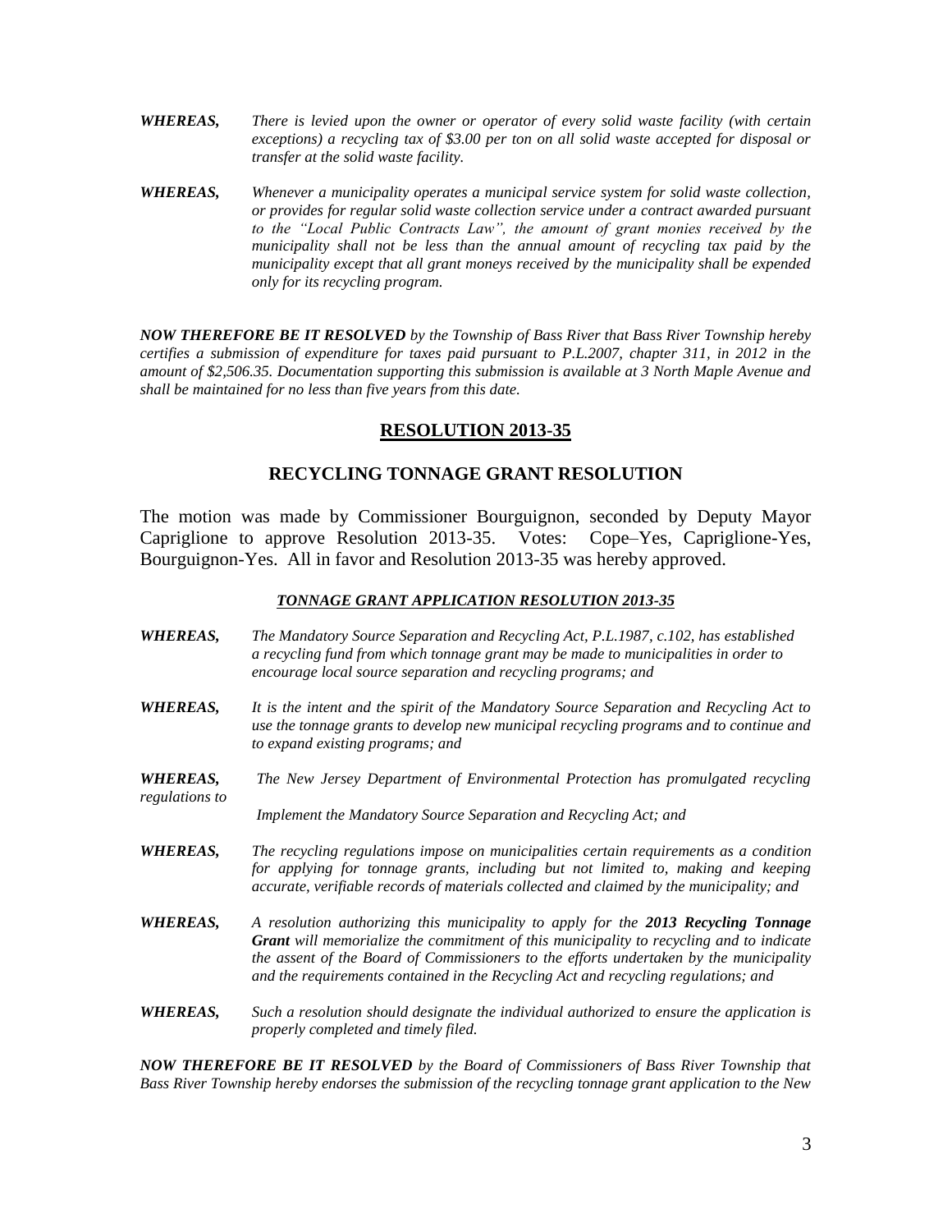- *WHEREAS, There is levied upon the owner or operator of every solid waste facility (with certain exceptions) a recycling tax of \$3.00 per ton on all solid waste accepted for disposal or transfer at the solid waste facility.*
- *WHEREAS, Whenever a municipality operates a municipal service system for solid waste collection, or provides for regular solid waste collection service under a contract awarded pursuant to the "Local Public Contracts Law", the amount of grant monies received by the municipality shall not be less than the annual amount of recycling tax paid by the municipality except that all grant moneys received by the municipality shall be expended only for its recycling program.*

*NOW THEREFORE BE IT RESOLVED by the Township of Bass River that Bass River Township hereby certifies a submission of expenditure for taxes paid pursuant to P.L.2007, chapter 311, in 2012 in the amount of \$2,506.35. Documentation supporting this submission is available at 3 North Maple Avenue and shall be maintained for no less than five years from this date.*

### **RESOLUTION 2013-35**

### **RECYCLING TONNAGE GRANT RESOLUTION**

The motion was made by Commissioner Bourguignon, seconded by Deputy Mayor Capriglione to approve Resolution 2013-35. Votes: Cope–Yes, Capriglione-Yes, Bourguignon-Yes. All in favor and Resolution 2013-35 was hereby approved.

#### *TONNAGE GRANT APPLICATION RESOLUTION 2013-35*

- *WHEREAS, The Mandatory Source Separation and Recycling Act, P.L.1987, c.102, has established a recycling fund from which tonnage grant may be made to municipalities in order to encourage local source separation and recycling programs; and*
- *WHEREAS, It is the intent and the spirit of the Mandatory Source Separation and Recycling Act to use the tonnage grants to develop new municipal recycling programs and to continue and to expand existing programs; and*
- *WHEREAS, The New Jersey Department of Environmental Protection has promulgated recycling regulations to*

*Implement the Mandatory Source Separation and Recycling Act; and*

- *WHEREAS, The recycling regulations impose on municipalities certain requirements as a condition for applying for tonnage grants, including but not limited to, making and keeping accurate, verifiable records of materials collected and claimed by the municipality; and*
- *WHEREAS, A resolution authorizing this municipality to apply for the 2013 Recycling Tonnage Grant will memorialize the commitment of this municipality to recycling and to indicate the assent of the Board of Commissioners to the efforts undertaken by the municipality and the requirements contained in the Recycling Act and recycling regulations; and*
- *WHEREAS, Such a resolution should designate the individual authorized to ensure the application is properly completed and timely filed.*

*NOW THEREFORE BE IT RESOLVED by the Board of Commissioners of Bass River Township that Bass River Township hereby endorses the submission of the recycling tonnage grant application to the New*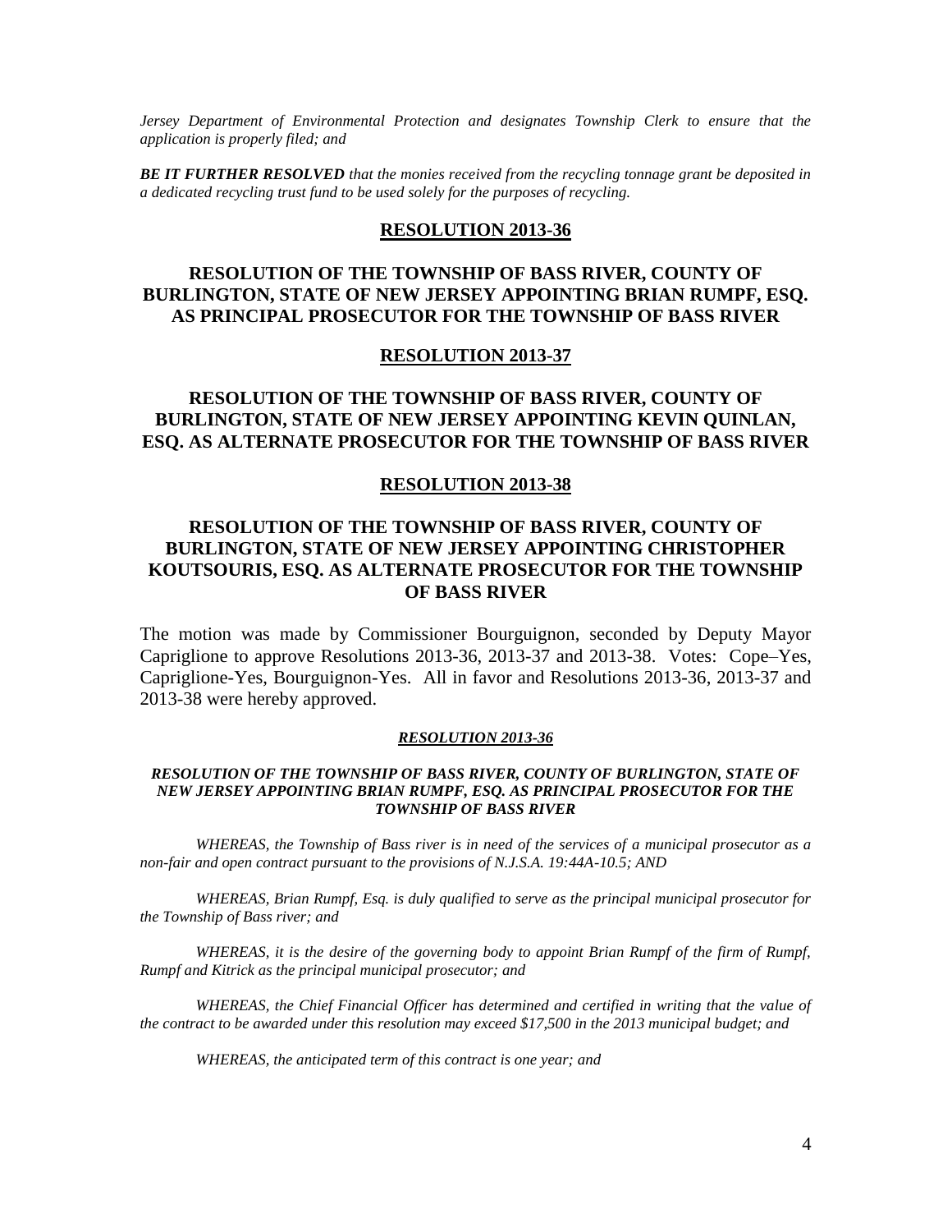*Jersey Department of Environmental Protection and designates Township Clerk to ensure that the application is properly filed; and*

*BE IT FURTHER RESOLVED that the monies received from the recycling tonnage grant be deposited in a dedicated recycling trust fund to be used solely for the purposes of recycling.*

### **RESOLUTION 2013-36**

# **RESOLUTION OF THE TOWNSHIP OF BASS RIVER, COUNTY OF BURLINGTON, STATE OF NEW JERSEY APPOINTING BRIAN RUMPF, ESQ. AS PRINCIPAL PROSECUTOR FOR THE TOWNSHIP OF BASS RIVER**

#### **RESOLUTION 2013-37**

## **RESOLUTION OF THE TOWNSHIP OF BASS RIVER, COUNTY OF BURLINGTON, STATE OF NEW JERSEY APPOINTING KEVIN QUINLAN, ESQ. AS ALTERNATE PROSECUTOR FOR THE TOWNSHIP OF BASS RIVER**

#### **RESOLUTION 2013-38**

# **RESOLUTION OF THE TOWNSHIP OF BASS RIVER, COUNTY OF BURLINGTON, STATE OF NEW JERSEY APPOINTING CHRISTOPHER KOUTSOURIS, ESQ. AS ALTERNATE PROSECUTOR FOR THE TOWNSHIP OF BASS RIVER**

The motion was made by Commissioner Bourguignon, seconded by Deputy Mayor Capriglione to approve Resolutions 2013-36, 2013-37 and 2013-38. Votes: Cope–Yes, Capriglione-Yes, Bourguignon-Yes. All in favor and Resolutions 2013-36, 2013-37 and 2013-38 were hereby approved.

#### *RESOLUTION 2013-36*

#### *RESOLUTION OF THE TOWNSHIP OF BASS RIVER, COUNTY OF BURLINGTON, STATE OF NEW JERSEY APPOINTING BRIAN RUMPF, ESQ. AS PRINCIPAL PROSECUTOR FOR THE TOWNSHIP OF BASS RIVER*

*WHEREAS, the Township of Bass river is in need of the services of a municipal prosecutor as a non-fair and open contract pursuant to the provisions of N.J.S.A. 19:44A-10.5; AND*

*WHEREAS, Brian Rumpf, Esq. is duly qualified to serve as the principal municipal prosecutor for the Township of Bass river; and*

*WHEREAS, it is the desire of the governing body to appoint Brian Rumpf of the firm of Rumpf, Rumpf and Kitrick as the principal municipal prosecutor; and*

*WHEREAS, the Chief Financial Officer has determined and certified in writing that the value of the contract to be awarded under this resolution may exceed \$17,500 in the 2013 municipal budget; and*

*WHEREAS, the anticipated term of this contract is one year; and*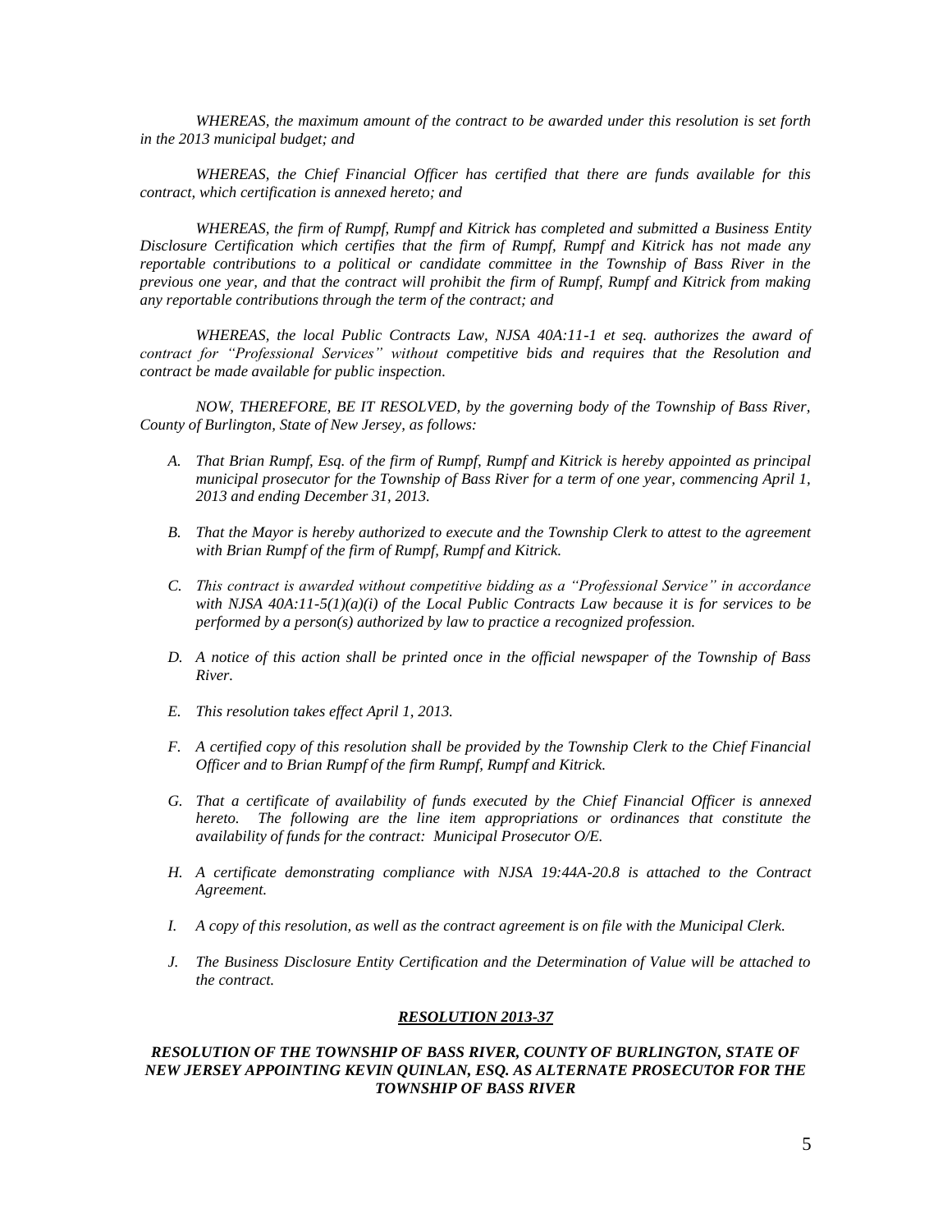*WHEREAS, the maximum amount of the contract to be awarded under this resolution is set forth in the 2013 municipal budget; and*

*WHEREAS, the Chief Financial Officer has certified that there are funds available for this contract, which certification is annexed hereto; and*

*WHEREAS, the firm of Rumpf, Rumpf and Kitrick has completed and submitted a Business Entity Disclosure Certification which certifies that the firm of Rumpf, Rumpf and Kitrick has not made any reportable contributions to a political or candidate committee in the Township of Bass River in the previous one year, and that the contract will prohibit the firm of Rumpf, Rumpf and Kitrick from making any reportable contributions through the term of the contract; and*

*WHEREAS, the local Public Contracts Law, NJSA 40A:11-1 et seq. authorizes the award of contract for "Professional Services" without competitive bids and requires that the Resolution and contract be made available for public inspection.*

*NOW, THEREFORE, BE IT RESOLVED, by the governing body of the Township of Bass River, County of Burlington, State of New Jersey, as follows:*

- *A. That Brian Rumpf, Esq. of the firm of Rumpf, Rumpf and Kitrick is hereby appointed as principal municipal prosecutor for the Township of Bass River for a term of one year, commencing April 1, 2013 and ending December 31, 2013.*
- *B. That the Mayor is hereby authorized to execute and the Township Clerk to attest to the agreement with Brian Rumpf of the firm of Rumpf, Rumpf and Kitrick.*
- *C. This contract is awarded without competitive bidding as a "Professional Service" in accordance with NJSA 40A:11-5(1)(a)(i) of the Local Public Contracts Law because it is for services to be performed by a person(s) authorized by law to practice a recognized profession.*
- *D. A notice of this action shall be printed once in the official newspaper of the Township of Bass River.*
- *E. This resolution takes effect April 1, 2013.*
- *F. A certified copy of this resolution shall be provided by the Township Clerk to the Chief Financial Officer and to Brian Rumpf of the firm Rumpf, Rumpf and Kitrick.*
- *G. That a certificate of availability of funds executed by the Chief Financial Officer is annexed hereto. The following are the line item appropriations or ordinances that constitute the availability of funds for the contract: Municipal Prosecutor O/E.*
- *H. A certificate demonstrating compliance with NJSA 19:44A-20.8 is attached to the Contract Agreement.*
- *I. A copy of this resolution, as well as the contract agreement is on file with the Municipal Clerk.*
- *J. The Business Disclosure Entity Certification and the Determination of Value will be attached to the contract.*

#### *RESOLUTION 2013-37*

*RESOLUTION OF THE TOWNSHIP OF BASS RIVER, COUNTY OF BURLINGTON, STATE OF NEW JERSEY APPOINTING KEVIN QUINLAN, ESQ. AS ALTERNATE PROSECUTOR FOR THE TOWNSHIP OF BASS RIVER*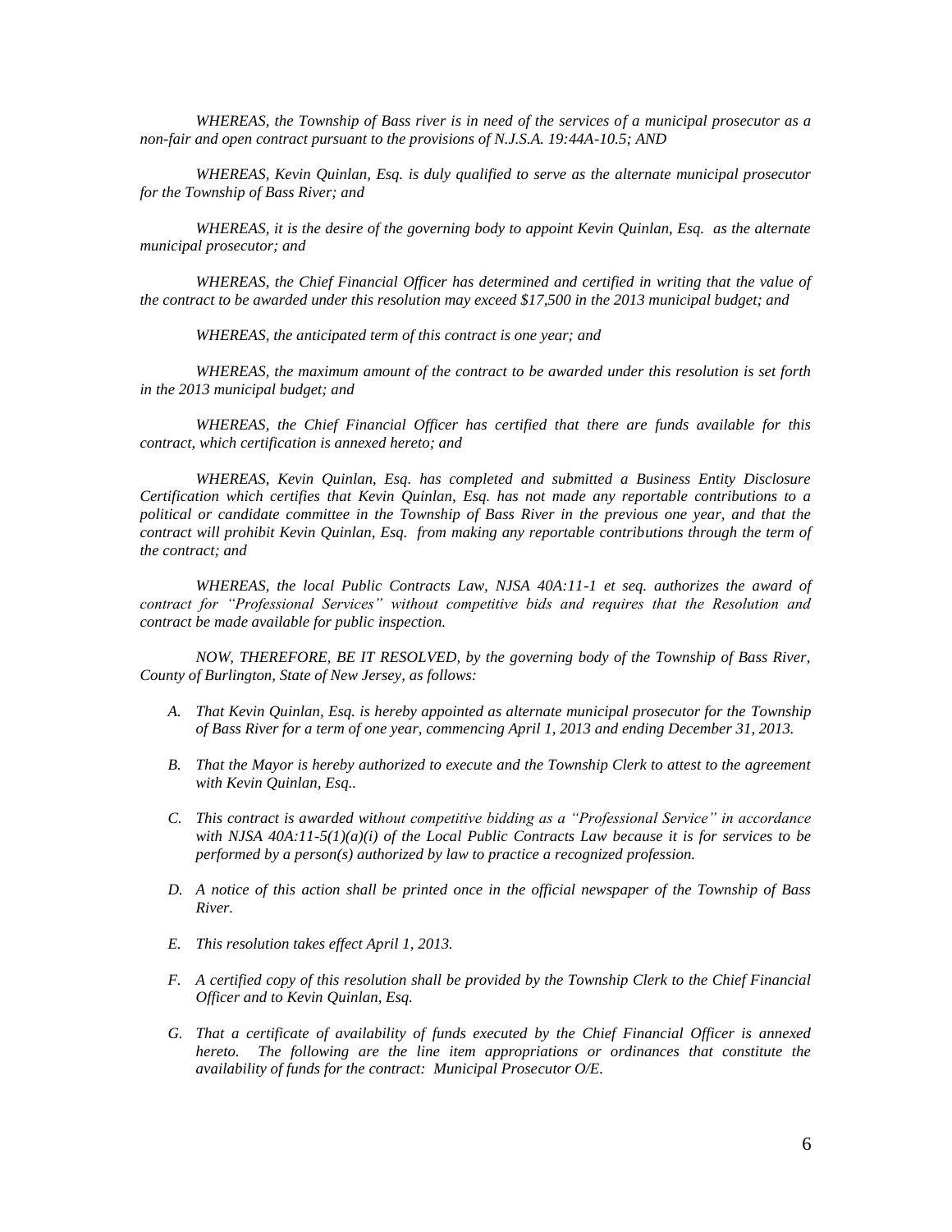*WHEREAS, the Township of Bass river is in need of the services of a municipal prosecutor as a non-fair and open contract pursuant to the provisions of N.J.S.A. 19:44A-10.5; AND*

*WHEREAS, Kevin Quinlan, Esq. is duly qualified to serve as the alternate municipal prosecutor for the Township of Bass River; and*

*WHEREAS, it is the desire of the governing body to appoint Kevin Quinlan, Esq. as the alternate municipal prosecutor; and*

*WHEREAS, the Chief Financial Officer has determined and certified in writing that the value of the contract to be awarded under this resolution may exceed \$17,500 in the 2013 municipal budget; and*

*WHEREAS, the anticipated term of this contract is one year; and*

*WHEREAS, the maximum amount of the contract to be awarded under this resolution is set forth in the 2013 municipal budget; and*

*WHEREAS, the Chief Financial Officer has certified that there are funds available for this contract, which certification is annexed hereto; and*

*WHEREAS, Kevin Quinlan, Esq. has completed and submitted a Business Entity Disclosure Certification which certifies that Kevin Quinlan, Esq. has not made any reportable contributions to a political or candidate committee in the Township of Bass River in the previous one year, and that the contract will prohibit Kevin Quinlan, Esq. from making any reportable contributions through the term of the contract; and*

*WHEREAS, the local Public Contracts Law, NJSA 40A:11-1 et seq. authorizes the award of contract for "Professional Services" without competitive bids and requires that the Resolution and contract be made available for public inspection.*

*NOW, THEREFORE, BE IT RESOLVED, by the governing body of the Township of Bass River, County of Burlington, State of New Jersey, as follows:*

- *A. That Kevin Quinlan, Esq. is hereby appointed as alternate municipal prosecutor for the Township of Bass River for a term of one year, commencing April 1, 2013 and ending December 31, 2013.*
- *B. That the Mayor is hereby authorized to execute and the Township Clerk to attest to the agreement with Kevin Quinlan, Esq..*
- *C. This contract is awarded without competitive bidding as a "Professional Service" in accordance with NJSA 40A:11-5(1)(a)(i) of the Local Public Contracts Law because it is for services to be performed by a person(s) authorized by law to practice a recognized profession.*
- *D. A notice of this action shall be printed once in the official newspaper of the Township of Bass River.*
- *E. This resolution takes effect April 1, 2013.*
- *F. A certified copy of this resolution shall be provided by the Township Clerk to the Chief Financial Officer and to Kevin Quinlan, Esq.*
- *G. That a certificate of availability of funds executed by the Chief Financial Officer is annexed hereto. The following are the line item appropriations or ordinances that constitute the availability of funds for the contract: Municipal Prosecutor O/E.*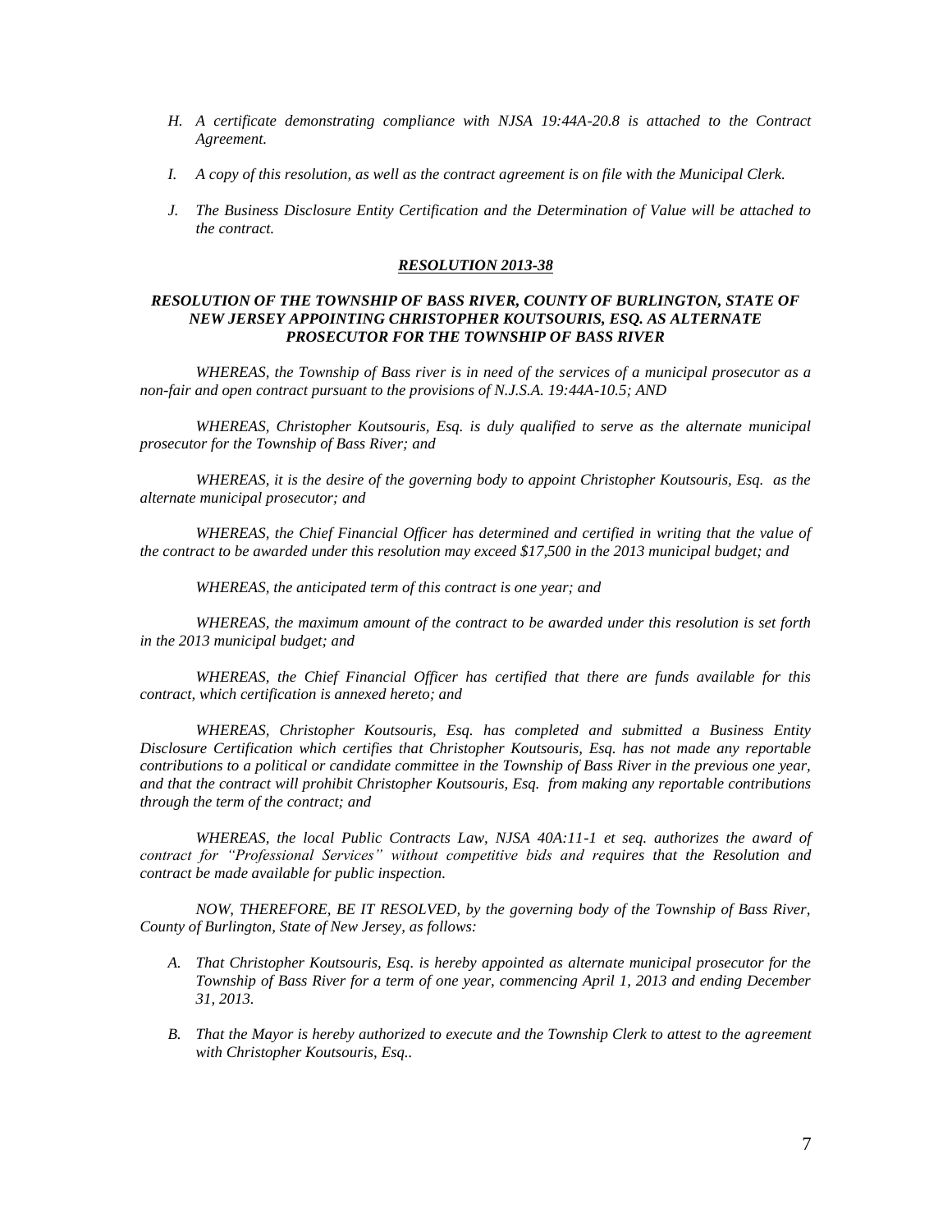- *H. A certificate demonstrating compliance with NJSA 19:44A-20.8 is attached to the Contract Agreement.*
- *I. A copy of this resolution, as well as the contract agreement is on file with the Municipal Clerk.*
- *J. The Business Disclosure Entity Certification and the Determination of Value will be attached to the contract.*

#### *RESOLUTION 2013-38*

#### *RESOLUTION OF THE TOWNSHIP OF BASS RIVER, COUNTY OF BURLINGTON, STATE OF NEW JERSEY APPOINTING CHRISTOPHER KOUTSOURIS, ESQ. AS ALTERNATE PROSECUTOR FOR THE TOWNSHIP OF BASS RIVER*

*WHEREAS, the Township of Bass river is in need of the services of a municipal prosecutor as a non-fair and open contract pursuant to the provisions of N.J.S.A. 19:44A-10.5; AND*

*WHEREAS, Christopher Koutsouris, Esq. is duly qualified to serve as the alternate municipal prosecutor for the Township of Bass River; and*

*WHEREAS, it is the desire of the governing body to appoint Christopher Koutsouris, Esq. as the alternate municipal prosecutor; and*

*WHEREAS, the Chief Financial Officer has determined and certified in writing that the value of the contract to be awarded under this resolution may exceed \$17,500 in the 2013 municipal budget; and*

*WHEREAS, the anticipated term of this contract is one year; and*

*WHEREAS, the maximum amount of the contract to be awarded under this resolution is set forth in the 2013 municipal budget; and*

*WHEREAS, the Chief Financial Officer has certified that there are funds available for this contract, which certification is annexed hereto; and*

*WHEREAS, Christopher Koutsouris, Esq. has completed and submitted a Business Entity Disclosure Certification which certifies that Christopher Koutsouris, Esq. has not made any reportable contributions to a political or candidate committee in the Township of Bass River in the previous one year, and that the contract will prohibit Christopher Koutsouris, Esq. from making any reportable contributions through the term of the contract; and*

*WHEREAS, the local Public Contracts Law, NJSA 40A:11-1 et seq. authorizes the award of contract for "Professional Services" without competitive bids and requires that the Resolution and contract be made available for public inspection.*

*NOW, THEREFORE, BE IT RESOLVED, by the governing body of the Township of Bass River, County of Burlington, State of New Jersey, as follows:*

- *A. That Christopher Koutsouris, Esq. is hereby appointed as alternate municipal prosecutor for the Township of Bass River for a term of one year, commencing April 1, 2013 and ending December 31, 2013.*
- *B. That the Mayor is hereby authorized to execute and the Township Clerk to attest to the agreement with Christopher Koutsouris, Esq..*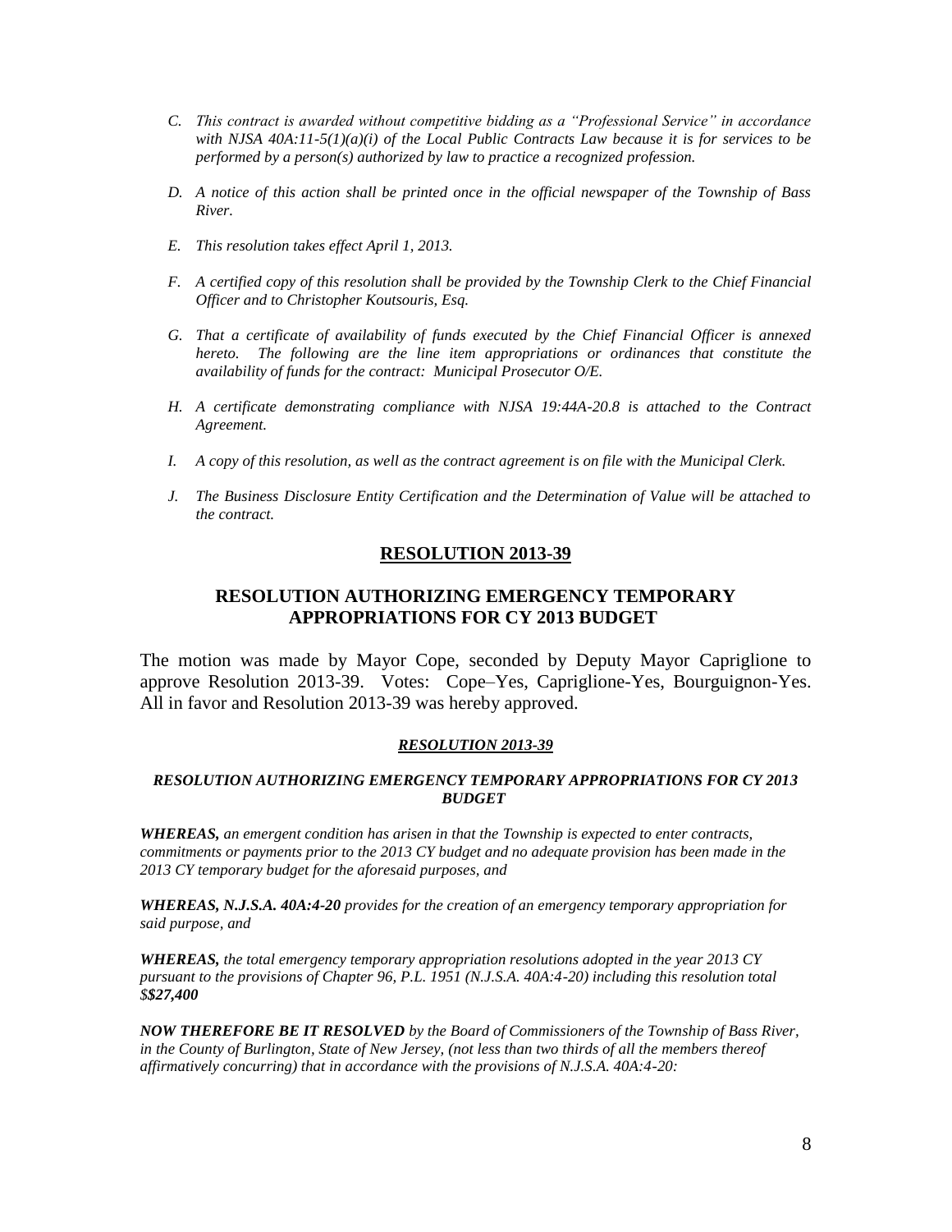- *C. This contract is awarded without competitive bidding as a "Professional Service" in accordance with NJSA 40A:11-5(1)(a)(i) of the Local Public Contracts Law because it is for services to be performed by a person(s) authorized by law to practice a recognized profession.*
- *D. A notice of this action shall be printed once in the official newspaper of the Township of Bass River.*
- *E. This resolution takes effect April 1, 2013.*
- *F. A certified copy of this resolution shall be provided by the Township Clerk to the Chief Financial Officer and to Christopher Koutsouris, Esq.*
- *G. That a certificate of availability of funds executed by the Chief Financial Officer is annexed hereto. The following are the line item appropriations or ordinances that constitute the availability of funds for the contract: Municipal Prosecutor O/E.*
- *H. A certificate demonstrating compliance with NJSA 19:44A-20.8 is attached to the Contract Agreement.*
- *I. A copy of this resolution, as well as the contract agreement is on file with the Municipal Clerk.*
- *J. The Business Disclosure Entity Certification and the Determination of Value will be attached to the contract.*

### **RESOLUTION 2013-39**

### **RESOLUTION AUTHORIZING EMERGENCY TEMPORARY APPROPRIATIONS FOR CY 2013 BUDGET**

The motion was made by Mayor Cope, seconded by Deputy Mayor Capriglione to approve Resolution 2013-39. Votes: Cope–Yes, Capriglione-Yes, Bourguignon-Yes. All in favor and Resolution 2013-39 was hereby approved.

#### *RESOLUTION 2013-39*

#### *RESOLUTION AUTHORIZING EMERGENCY TEMPORARY APPROPRIATIONS FOR CY 2013 BUDGET*

*WHEREAS, an emergent condition has arisen in that the Township is expected to enter contracts, commitments or payments prior to the 2013 CY budget and no adequate provision has been made in the 2013 CY temporary budget for the aforesaid purposes, and*

*WHEREAS, N.J.S.A. 40A:4-20 provides for the creation of an emergency temporary appropriation for said purpose, and*

*WHEREAS, the total emergency temporary appropriation resolutions adopted in the year 2013 CY pursuant to the provisions of Chapter 96, P.L. 1951 (N.J.S.A. 40A:4-20) including this resolution total \$\$27,400*

*NOW THEREFORE BE IT RESOLVED by the Board of Commissioners of the Township of Bass River, in the County of Burlington, State of New Jersey, (not less than two thirds of all the members thereof affirmatively concurring) that in accordance with the provisions of N.J.S.A. 40A:4-20:*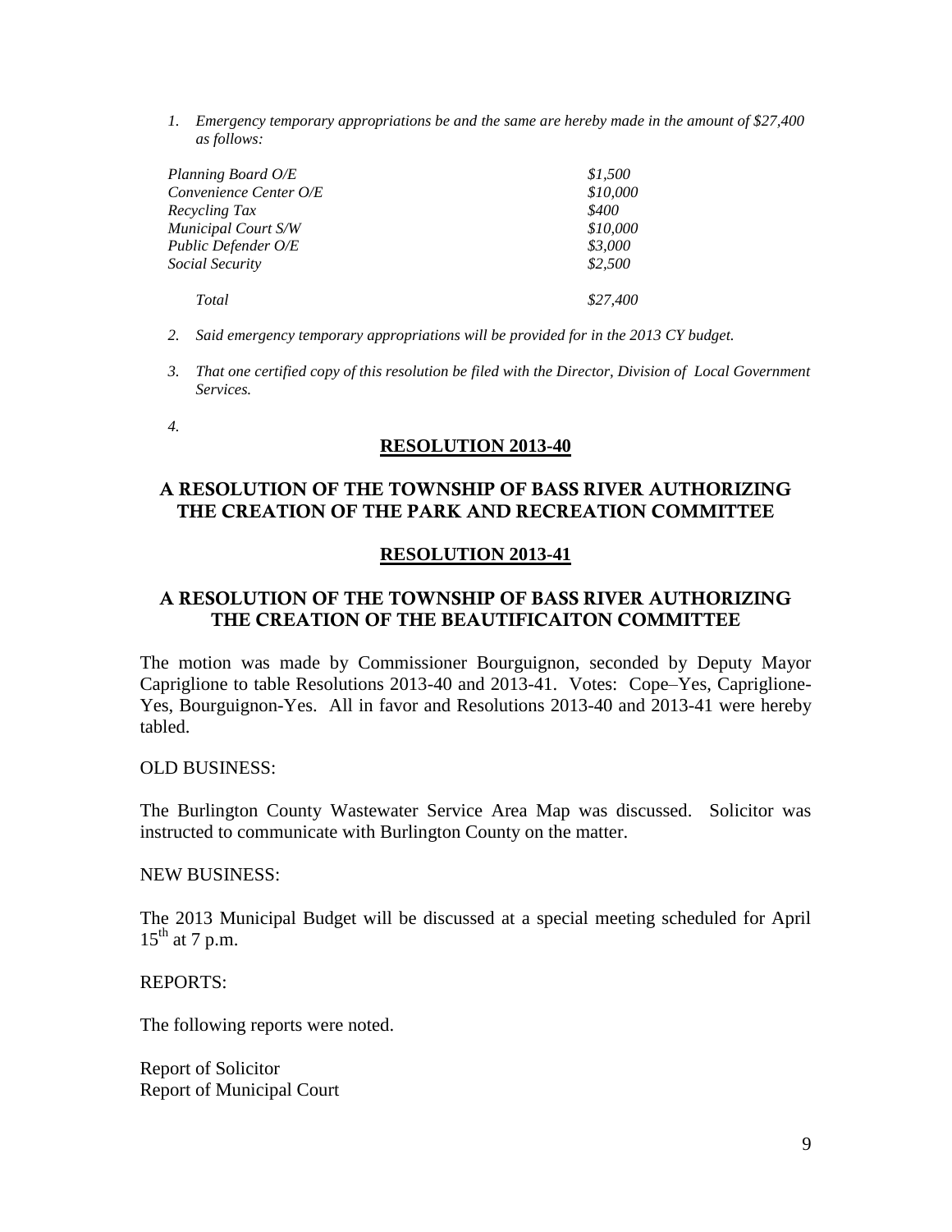*1. Emergency temporary appropriations be and the same are hereby made in the amount of \$27,400 as follows:*

| Planning Board O/E     | \$1,500  |
|------------------------|----------|
| Convenience Center O/E | \$10,000 |
| Recycling Tax          | \$400    |
| Municipal Court S/W    | \$10,000 |
| Public Defender O/E    | \$3,000  |
| Social Security        | \$2,500  |
| Total                  | \$27,400 |

- *2. Said emergency temporary appropriations will be provided for in the 2013 CY budget.*
- *3. That one certified copy of this resolution be filed with the Director, Division of Local Government Services.*

*4.*

### **RESOLUTION 2013-40**

# **A RESOLUTION OF THE TOWNSHIP OF BASS RIVER AUTHORIZING THE CREATION OF THE PARK AND RECREATION COMMITTEE**

### **RESOLUTION 2013-41**

# **A RESOLUTION OF THE TOWNSHIP OF BASS RIVER AUTHORIZING THE CREATION OF THE BEAUTIFICAITON COMMITTEE**

The motion was made by Commissioner Bourguignon, seconded by Deputy Mayor Capriglione to table Resolutions 2013-40 and 2013-41. Votes: Cope–Yes, Capriglione-Yes, Bourguignon-Yes. All in favor and Resolutions 2013-40 and 2013-41 were hereby tabled.

OLD BUSINESS:

The Burlington County Wastewater Service Area Map was discussed. Solicitor was instructed to communicate with Burlington County on the matter.

### NEW BUSINESS:

The 2013 Municipal Budget will be discussed at a special meeting scheduled for April  $15<sup>th</sup>$  at 7 p.m.

REPORTS:

The following reports were noted.

Report of Solicitor Report of Municipal Court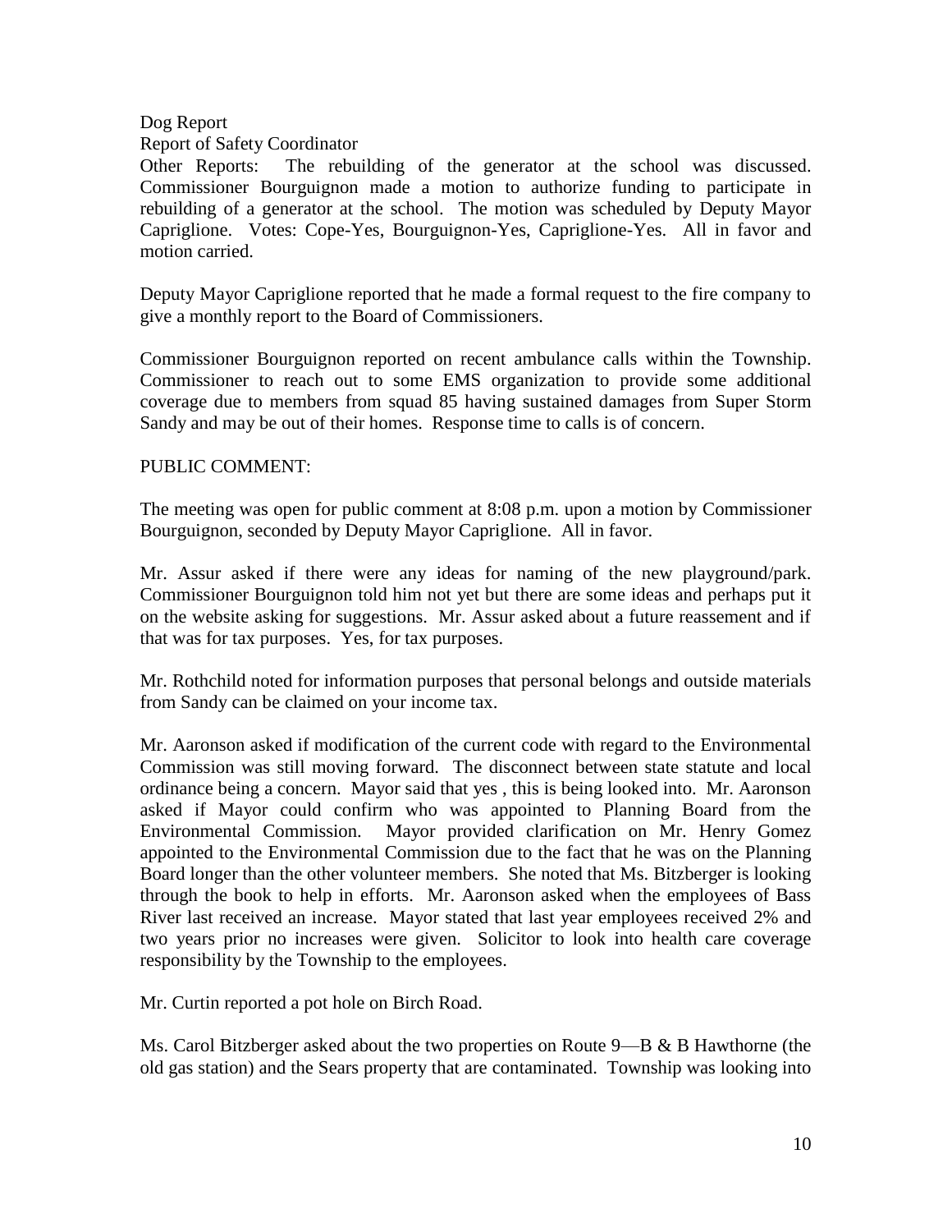# Dog Report

# Report of Safety Coordinator

Other Reports: The rebuilding of the generator at the school was discussed. Commissioner Bourguignon made a motion to authorize funding to participate in rebuilding of a generator at the school. The motion was scheduled by Deputy Mayor Capriglione. Votes: Cope-Yes, Bourguignon-Yes, Capriglione-Yes. All in favor and motion carried.

Deputy Mayor Capriglione reported that he made a formal request to the fire company to give a monthly report to the Board of Commissioners.

Commissioner Bourguignon reported on recent ambulance calls within the Township. Commissioner to reach out to some EMS organization to provide some additional coverage due to members from squad 85 having sustained damages from Super Storm Sandy and may be out of their homes. Response time to calls is of concern.

# PUBLIC COMMENT:

The meeting was open for public comment at 8:08 p.m. upon a motion by Commissioner Bourguignon, seconded by Deputy Mayor Capriglione. All in favor.

Mr. Assur asked if there were any ideas for naming of the new playground/park. Commissioner Bourguignon told him not yet but there are some ideas and perhaps put it on the website asking for suggestions. Mr. Assur asked about a future reassement and if that was for tax purposes. Yes, for tax purposes.

Mr. Rothchild noted for information purposes that personal belongs and outside materials from Sandy can be claimed on your income tax.

Mr. Aaronson asked if modification of the current code with regard to the Environmental Commission was still moving forward. The disconnect between state statute and local ordinance being a concern. Mayor said that yes , this is being looked into. Mr. Aaronson asked if Mayor could confirm who was appointed to Planning Board from the Environmental Commission. Mayor provided clarification on Mr. Henry Gomez appointed to the Environmental Commission due to the fact that he was on the Planning Board longer than the other volunteer members. She noted that Ms. Bitzberger is looking through the book to help in efforts. Mr. Aaronson asked when the employees of Bass River last received an increase. Mayor stated that last year employees received 2% and two years prior no increases were given. Solicitor to look into health care coverage responsibility by the Township to the employees.

Mr. Curtin reported a pot hole on Birch Road.

Ms. Carol Bitzberger asked about the two properties on Route 9—B & B Hawthorne (the old gas station) and the Sears property that are contaminated. Township was looking into